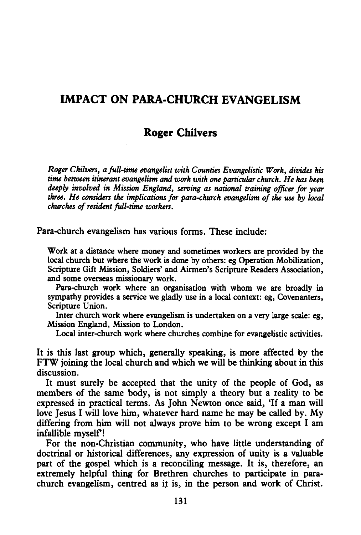# **IMPACT ON PARA-CHURCH EVANGELISM**

# **Roger Chilvers**

*Roger Chilvers, a full-time evangelist with Counties Evangelistic Work, divides his time between itinerant evangelism and work with one particular church. He has been deeply involved in Mission England, serving as national training officer for year three. He considers the implications for para-church evangelism of the use by local churches of resident full-time workers.* 

Para-church evangelism has various forms. These include:

Work at a distance where money and sometimes workers are provided by the local church but where the work is done by others: eg Operation Mobilization, Scripture Gift Mission, Soldiers' and Airmen's Scripture Readers Association, and some overseas missionary work.

Para-church work where an organisation with whom we are broadly in sympathy provides a service we gladly use in a local context: eg, Covenanters, Scripture Union.

Inter church work where evangelism is undertaken on a very large scale: eg, Mission England, Mission to London.

Local inter-church work where churches combine for evangelistic activities.

It is this last group which, generally speaking, is more affected by the FTW joining the local church and which we will be thinking about in this discussion.

It must surely be accepted that the unity of the people of God, as members of the same body, is not simply a theory but a reality to be expressed in practical terms. As John Newton once said, 'If a man will love Jesus I will love him, whatever hard name he may be called by. My differing from him will not always prove him to be wrong except I am infallible myself!

For the non-Christian community, who have little understanding of doctrinal or historical differences, any expression of unity is a valuable part of the gospel which is a reconciling message. It is, therefore, an extremely helpful thing for Brethren churches to participate in parachurch evangelism, centred as it is, in the person and work of Christ.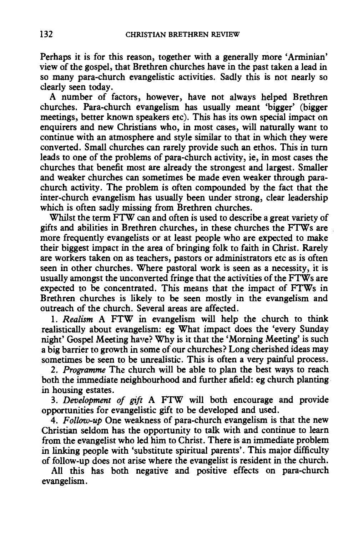Perhaps it is for this reason, together with a generally more 'Arminian' view of the gospel, that Brethren churches have in the past taken a lead in so many para-church evangelistic activities. Sadly this is not nearly so clearly seen today.

A number of factors, however, have not always helped Brethren churches. Para-church evangelism has usually meant 'bigger' (bigger meetings, better known speakers etc). This has its own special impact on enquirers and new Christians who, in most cases, will naturally want to continue with an atmosphere and style similar to that in which they were converted. Small churches can rarely provide such an ethos. This in turn leads to one of the problems of para-church activity, ie, in most cases the churches that benefit most are already the strongest and largest. Smaller and weaker churches can sometimes be made even weaker through parachurch activity. The problem is often compounded by the fact that the inter-church evangelism has usually been under strong, clear leadership which is often sadly missing from Brethren churches.

Whilst the term FTW can and often is used to describe a great variety of gifts and abilities in Brethren churches, in these churches the FTWs are more frequently evangelists or at least people who are expected to make their biggest impact in the area of bringing folk to faith in Christ. Rarely are workers taken on as teachers, pastors or administrators etc as is often seen in other churches. Where pastoral work is seen as a necessity, it is usually amongst the unconverted fringe that the activities of the FTWs are expected to be concentrated. This means that the impact of FTWs in Brethren churches is likely to be seen mostly in the evangelism and outreach of the church. Several areas are affected.

1. *Realism* A FTW in evangelism will help the church to think realistically about evangelism: eg What impact does the 'every Sunday night' Gospel Meeting have? Why is it that the 'Morning Meeting' is such a big barrier to growth in some of our churches? Long cherished ideas may sometimes be seen to be unrealistic. This is often a very painful process.

2. *Programme* The church will be able to plan the best ways to reach both the immediate neighbourhood and further afield: eg church planting in housing estates.

3. *Development of gift* A FTW will both encourage and provide opportunities for evangelistic gift to be developed and used.

4. *Follow-up* One weakness of para-church evangelism is that the new Christian seldom has the opportunity to talk with and continue to learn from the evangelist who led him to Christ. There is an immediate problem in linking people with 'substitute spiritual parents'. This major difficulty of follow-up does not arise where the evangelist is resident in the church.

All this has both negative and positive effects on para-church evangelism.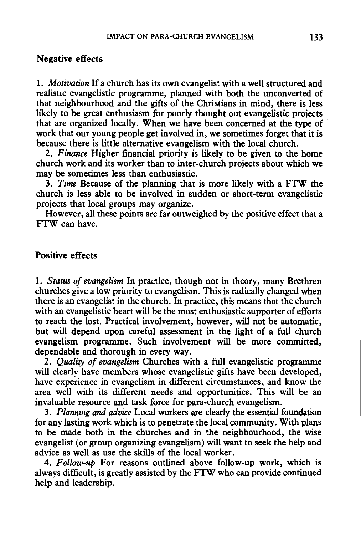#### Negative effects

1. *Motivation* If a church has its own evangelist with a well structured and realistic evangelistic programme, planned with both the unconverted of that neighbourhood and the gifts of the Christians in mind, there is less likely to be great enthusiasm for poorly thought out evangelistic projects that are organized locally. When we have been concerned at the type of work that our young people get involved in, we sometimes forget that it is because there is little alternative evangelism with the local church.

2. *Finance* Higher financial priority is likely to be given to the home church work and its worker than to inter-church projects about which we may be sometimes less than enthusiastic.

3. *Time* Because of the planning that is more likely with a FTW the church is less able to be involved in sudden or short-term evangelistic projects that local groups may organize.

However, all these points are far outweighed by the positive effect that a FTW can have.

## Positive effects

1. *Status of evangelism* In practice, though not in theory, many Brethren churches give a low priority to evangelism. This is radically changed when there is an evangelist in the church. In practice, this means that the church with an evangelistic heart will be the most enthusiastic supporter of efforts to reach the lost. Practical involvement, however, will not be automatic, but will depend upon careful assessment in the light of a full church evangelism programme. Such involvement will be more committed, dependable and thorough in every way.

2. *Quality of evangelism* Churches with a full evangelistic programme will clearly have members whose evangelistic gifts have been developed, have experience in evangelism in different circumstances, and know the area well with its different needs and opportunities. This will be an invaluable resource and task force for para-church evangelism.

3. *Planning and advice* Local workers are clearly the essential foundation for any lasting work which is to penetrate the local community. With plans to be made both in the churches and in the neighbourhood, the wise evangelist (or group organizing evangelism) will want to seek the help and advice as well as use the skills of the local worker.

4. *Follow-up* For reasons outlined above follow-up work, which is always difficult, is greatly assisted by the FTW who can provide continued help and leadership.